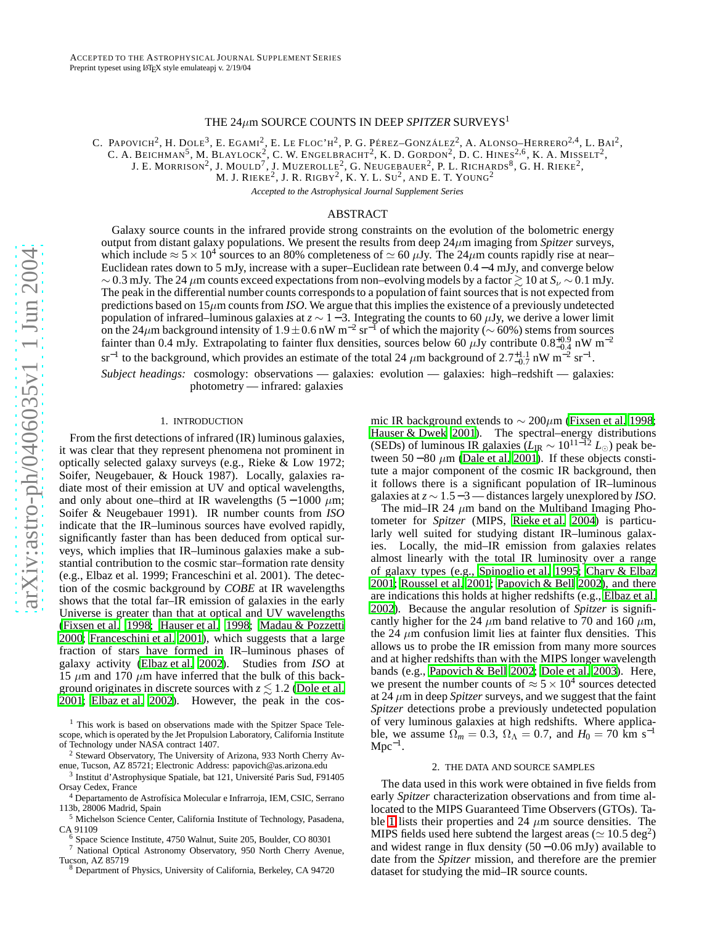# THE 24 µm SOURCE COUNTS IN DEEP *SPITZER* SURVEYS 1

C. PAPOVICH<sup>2</sup>, H. DOLE<sup>3</sup>, E. EGAMI<sup>2</sup>, E. LE FLOC'H<sup>2</sup>, P. G. PÉREZ–GONZÁLEZ<sup>2</sup>, A. ALONSO–HERRERO<sup>2,4</sup>, L. Bai<sup>2</sup>,

C. A. BEICHMAN<sup>5</sup>, M. BLAYLOCK<sup>2</sup>, C. W. ENGELBRACHT<sup>2</sup>, K. D. GORDON<sup>2</sup>, D. C. HINES<sup>2,6</sup>, K. A. MISSELT<sup>2</sup>,

J. E. MORRISON<sup>2</sup>, J. MOULD<sup>7</sup>, J. MUZEROLLE<sup>2</sup>, G. NEUGEBAUER<sup>2</sup>, P. L. RICHARDS<sup>8</sup>, G. H. RIEKE<sup>2</sup>,

M. J. RIEKE $^2$ , J. R. RIGBY $^2$ , K. Y. L. Su $^2$ , and E. T. Young $^2$ 

*Accepted to the Astrophysical Journal Supplement Series*

# ABSTRACT

Galaxy source counts in the infrared provide strong constraints on the evolution of the bolometric energy output from distant galaxy populations. We present the results from deep 24 µm imaging from *Spitzer* surveys, which include  $\approx 5 \times 10^4$  sources to an 80% completeness of  $\simeq 60 \,\mu$ Jy. The 24 $\mu$ m counts rapidly rise at near-Euclidean rates down to 5 mJy, increase with a super–Euclidean rate between 0.4 − 4 mJy, and converge below  $\sim$  0.3 mJy. The 24  $\mu$ m counts exceed expectations from non–evolving models by a factor  $\gtrsim$  10 at  $S_\nu \sim$  0.1 mJy. The peak in the differential number counts corresponds to a population of faint sources that is not expected from predictions based on  $15\mu$ m counts from *ISO*. We argue that this implies the existence of a previously undetected population of infrared–luminous galaxies at  $z \sim 1-3$ . Integrating the counts to 60  $\mu$ Jy, we derive a lower limit on the 24 $\mu$ m background intensity of 1.9 ± 0.6 nW m<sup>-2</sup> sr<sup>-1</sup> of which the majority ( $\sim$  60%) stems from sources fainter than 0.4 mJy. Extrapolating to fainter flux densities, sources below 60  $\mu$ Jy contribute 0.8<sup>+0.9</sup> nW m<sup>-2</sup> sr<sup>-1</sup> to the background, which provides an estimate of the total 24  $\mu$ m background of 2.7<sup>+1.1</sup> nW m<sup>-2</sup> sr<sup>-1</sup>.

*Subject headings:* cosmology: observations — galaxies: evolution — galaxies: high–redshift — galaxies: photometry — infrared: galaxies

## 1. INTRODUCTION

From the first detections of infrared (IR) luminous galaxies , it was clear that they represent phenomena not prominent in optically selected galaxy surveys (e.g., Rieke & Low 1972; Soifer, Neugebauer, & Houck 1987). Locally, galaxies radiate most of their emission at UV and optical wavelengths, and only about one–third at IR wavelengths  $(5-1000 \mu m)$ ; Soifer & Neugebauer 1991). IR number counts from *ISO* indicate that the IR–luminous sources have evolved rapidly , significantly faster than has been deduced from optical surveys, which implies that IR–luminous galaxies make a substantial contribution to the cosmic star–formation rate density (e.g., Elbaz et al. 1999; Franceschini et al. 2001). The detection of the cosmic background by *COBE* at IR wavelengths shows that the total far–IR emission of galaxies in the early Universe is greater than that at optical and UV wavelengths [\(Fixsen et al. 1998;](#page-3-0) [Hauser et al. 1998;](#page-3-1) [Madau & Pozzetti](#page-3-2) [2000;](#page-3-2) [Franceschini et al. 2001\)](#page-3-3), which suggests that a large fraction of stars have formed in IR–luminous phases of galaxy activity [\(Elbaz et al. 2002\)](#page-3-4). Studies from *ISO* at 15  $\mu$ m and 170  $\mu$ m have inferred that the bulk of this background originates in discrete sources with  $z \lesssim 1.2$  [\(Dole et al.](#page-3-5) [2001;](#page-3-5) [Elbaz et al. 2002\)](#page-3-4). However, the peak in the cos-

mic IR background extends to  $\sim 200 \mu m$  [\(Fixsen et al. 1998](#page-3-0); [Hauser & Dwek 2001\)](#page-3-6). The spectral–energy distributions (SEDs) of luminous IR galaxies  $(L_{\text{IR}} \sim 10^{11-12} L_{\odot})$  peak between 50 – 80  $\mu$ m [\(Dale et al. 2001\)](#page-3-7). If these objects constitute a major component of the cosmic IR background, then it follows there is a significant population of IR–luminous galaxies at  $z \sim 1.5 - 3$ — distances largely unexplored by *ISO*.

The mid–IR 24  $\mu$ m band on the Multiband Imaging Photometer for *Spitzer* (MIPS, [Rieke et al. 2004\)](#page-3-8) is particularly well suited for studying distant IR–luminous galaxies. Locally, the mid–IR emission from galaxies relates almost linearly with the total IR luminosity over a range of galaxy types (e.g., [Spinoglio et al. 1995](#page-3-9); [Chary & Elbaz](#page-3-10) [2001;](#page-3-10) [Roussel et al. 2001](#page-3-11); [Papovich & Bell 2002\)](#page-3-12), and there are indications this holds at higher redshifts (e.g., [Elbaz](#page-3-4) et al. [2002\)](#page-3-4). Because the angular resolution of *Spitzer* is significantly higher for the 24  $\mu$ m band relative to 70 and 160  $\mu$ m, the 24  $\mu$ m confusion limit lies at fainter flux densities. This allows us to probe the IR emission from many more sources and at higher redshifts than with the MIPS longer wavelength bands (e.g., [Papovich & Bell 2002;](#page-3-12) [Dole et al. 2003](#page-3-13)). Here, we present the number counts of  $\approx 5 \times 10^4$  sources detected at 24 µm in deep *Spitzer* surveys, and we suggest that the faint *Spitzer* detections probe a previously undetected population of very luminous galaxies at high redshifts. Where applicable, we assume  $\Omega_m = 0.3$ ,  $\Omega_{\Lambda} = 0.7$ , and  $H_0 = 70$  km s<sup>-1</sup>  $Mpc^{-1}$ .

## 2. THE DATA AND SOURCE SAMPLES

The data used in this work were obtained in five fields from early *Spitzer* characterization observations and from time allocated to the MIPS Guaranteed Time Observers (GTOs). Ta-ble [1](#page-1-0) lists their properties and 24  $\mu$ m source densities. The MIPS fields used here subtend the largest areas ( $\simeq 10.5~\rm deg^2$ ) and widest range in flux density  $(50 - 0.06 \text{ mJy})$  available to date from the *Spitzer* mission, and therefore are the premier dataset for studying the mid–IR source counts.

<sup>&</sup>lt;sup>1</sup> This work is based on observations made with the Spitzer Space Telescope, which is operated by the Jet Propulsion Laboratory, California Institute of Technology under NASA contract 1407.

<sup>&</sup>lt;sup>2</sup> Steward Observatory, The University of Arizona, 933 North Cherry Avenue, Tucson, AZ 85721; Electronic Address: papovich@as.arizona.edu

<sup>3</sup> Institut d'Astrophysique Spatiale, bat 121, Université Paris Sud, F91405 Orsay Cedex, France

<sup>4</sup> Departamento de Astrofísica Molecular e Infrarroja, IEM, CSIC, Serrano 113b, 28006 Madrid, Spain

 $^5$  Michelson Science Center, California Institute of Technology, Pasadena, CA 91109

 $6$  Space Science Institute, 4750 Walnut, Suite 205, Boulder, CO 80301

 $\frac{7}{10}$  National Optical Astronomy Observatory, 950 North Cherry Avenue, Tucson, AZ 85719

Department of Physics, University of California, Berkeley, CA 94720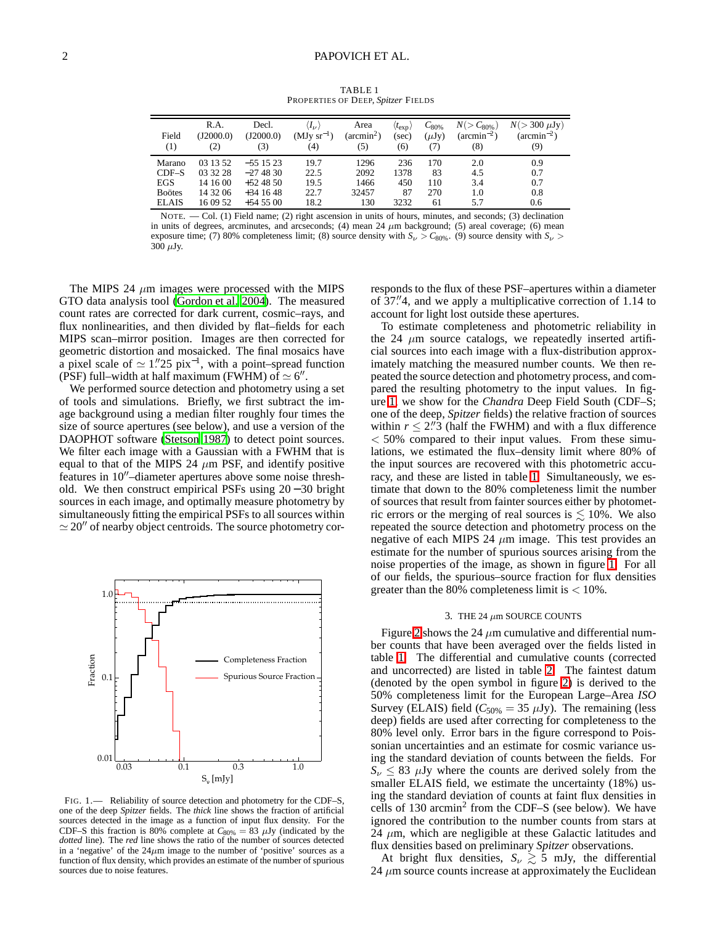<span id="page-1-0"></span>

| Field<br>(1)  | R.A.<br>(I2000.0)<br>(2) | Decl.<br>(J2000.0)<br>(3) | $\langle I_\nu \rangle$<br>$(MJy sr^{-1})$<br>(4) | Area<br>$(\text{arcmin}^2)$<br>(5) | $(t_{\rm exp})$<br>(sec)<br>(6) | $C_{80\%}$<br>$(\mu Jv)$<br>(7) | $N(> C_{80\%})$<br>$(\arcsin^{-2})$<br>(8) | $N(>300 \mu Jy)$<br>$(\arcsin^{-2})$<br>(9) |
|---------------|--------------------------|---------------------------|---------------------------------------------------|------------------------------------|---------------------------------|---------------------------------|--------------------------------------------|---------------------------------------------|
| Marano        | 03 13 52                 | $-551523$                 | 19.7                                              | 1296                               | 236                             | 170                             | 2.0                                        | 0.9                                         |
| $CDF-S$       | 03 32 28                 | $-274830$                 | 22.5                                              | 2092                               | 1378                            | 83                              | 4.5                                        | 0.7                                         |
| EGS           | 14 16 00                 | $+524850$                 | 19.5                                              | 1466                               | 450                             | 110                             | 3.4                                        | 0.7                                         |
| <b>Boötes</b> | 14 32 06                 | $+341648$                 | 22.7                                              | 32457                              | 87                              | 270                             | 1.0                                        | 0.8                                         |
| <b>ELAIS</b>  | 16 09 52                 | $+54500$                  | 18.2                                              | 130                                | 3232                            | 61                              | 5.7                                        | 0.6                                         |

TABLE 1 PROPERTIES OF DEEP, *Spitzer* FIELDS

NOTE. — Col. (1) Field name; (2) right ascension in units of hours, minutes, and seconds; (3) declination in units of degrees, arcminutes, and arcseconds; (4) mean 24  $\mu$ m background; (5) areal coverage; (6) mean exposure time; (7) 80% completeness limit; (8) source density with  $S_{\nu} > C_{80\%}$ . (9) source density with  $S_{\nu} > C_{80\%}$ .  $300 \mu Jy$ .

The MIPS 24  $\mu$ m images were processed with the MIPS GTO data analysis tool [\(Gordon et al. 2004](#page-3-14)). The measured count rates are corrected for dark current, cosmic–rays, and flux nonlinearities, and then divided by flat–fields for each MIPS scan–mirror position. Images are then corrected for geometric distortion and mosaicked. The final mosaics have a pixel scale of  $\simeq 1''25$  pix<sup>-1</sup>, with a point–spread function (PSF) full–width at half maximum (FWHM) of  $\simeq 6''$ .

We performed source detection and photometry using a set of tools and simulations. Briefly, we first subtract the image background using a median filter roughly four times the size of source apertures (see below), and use a version of the DAOPHOT software [\(Stetson 1987\)](#page-3-15) to detect point sources. We filter each image with a Gaussian with a FWHM that is equal to that of the MIPS 24  $\mu$ m PSF, and identify positive features in 10′′–diameter apertures above some noise threshold. We then construct empirical PSFs using 20 − 30 bright sources in each image, and optimally measure photometry by simultaneously fitting the empirical PSFs to all sources within  $\simeq$  20<sup> $\prime\prime$ </sup> of nearby object centroids. The source photometry cor-



<span id="page-1-1"></span>FIG. 1. - Reliability of source detection and photometry for the CDF-S, one of the deep *Spitzer* fields. The *thick* line shows the fraction of artificial sources detected in the image as a function of input flux density. For the CDF–S this fraction is 80% complete at  $C_{80\%} = 83 \mu Jy$  (indicated by the *dotted* line). The *red* line shows the ratio of the number of sources detected in a 'negative' of the  $24\mu m$  image to the number of 'positive' sources as a function of flux density, which provides an estimate of the number of spurious sources due to noise features.

responds to the flux of these PSF–apertures within a diameter of  $37$ ."4, and we apply a multiplicative correction of 1.14 to account for light lost outside these apertures.

To estimate completeness and photometric reliability in the 24  $\mu$ m source catalogs, we repeatedly inserted artificial sources into each image with a flux-distribution approximately matching the measured number counts. We then repeated the source detection and photometry process, and compared the resulting photometry to the input values. In figure [1,](#page-1-1) we show for the *Chandra* Deep Field South (CDF–S; one of the deep, *Spitzer* fields) the relative fraction of sources within  $r \leq 2$ .<sup>"</sup> (half the FWHM) and with a flux difference  $<$  50% compared to their input values. From these simulations, we estimated the flux–density limit where 80% of the input sources are recovered with this photometric accuracy, and these are listed in table [1.](#page-1-0) Simultaneously, we estimate that down to the 80% completeness limit the number of sources that result from fainter sources either by photometric errors or the merging of real sources is  $\leq 10\%$ . We also repeated the source detection and photometry process on the negative of each MIPS 24  $\mu$ m image. This test provides an estimate for the number of spurious sources arising from the noise properties of the image, as shown in figure [1.](#page-1-1) For all of our fields, the spurious–source fraction for flux densities greater than the 80% completeness limit is  $< 10\%$ .

## 3. THE 24  $\mu$ m SOURCE COUNTS

Figure [2](#page-2-0) shows the 24  $\mu$ m cumulative and differential number counts that have been averaged over the fields listed in table [1.](#page-1-0) The differential and cumulative counts (corrected and uncorrected) are listed in table [2.](#page-4-0) The faintest datum (denoted by the open symbol in figure [2\)](#page-2-0) is derived to the 50% completeness limit for the European Large–Area *ISO* Survey (ELAIS) field  $(C_{50\%} = 35 \ \mu\text{Jy})$ . The remaining (less deep) fields are used after correcting for completeness to the 80% level only. Error bars in the figure correspond to Poissonian uncertainties and an estimate for cosmic variance using the standard deviation of counts between the fields. For  $S_v \leq 83$   $\mu$ Jy where the counts are derived solely from the smaller ELAIS field, we estimate the uncertainty (18%) using the standard deviation of counts at faint flux densities in cells of 130 arcmin<sup>2</sup> from the CDF-S (see below). We have ignored the contribution to the number counts from stars at 24  $\mu$ m, which are negligible at these Galactic latitudes and flux densities based on preliminary *Spitzer* observations.

At bright flux densities,  $S_v \gtrsim 5$  mJy, the differential 24  $\mu$ m source counts increase at approximately the Euclidean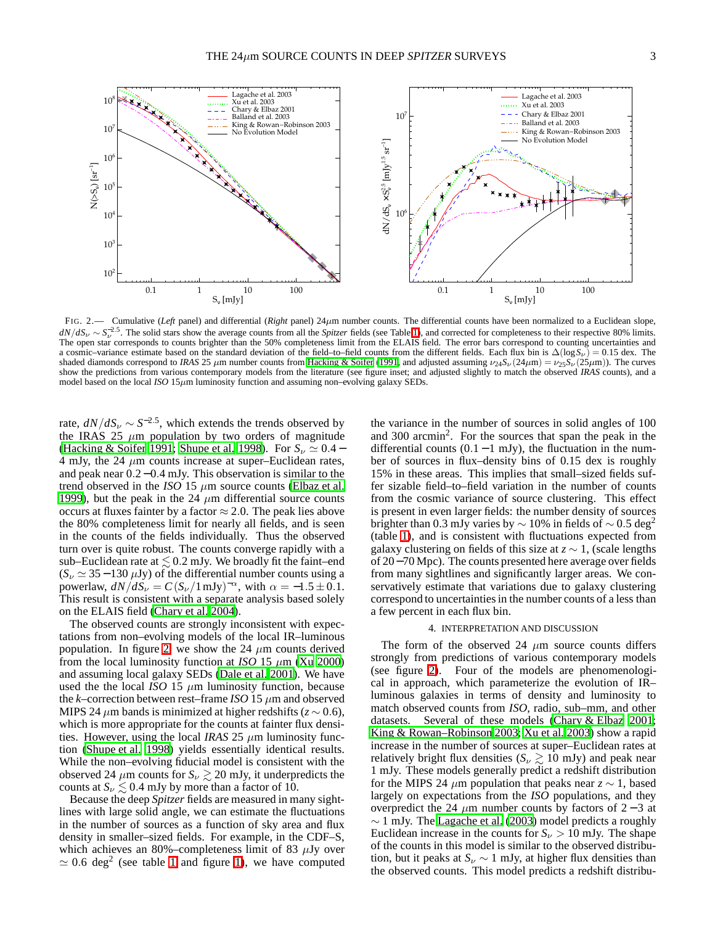

<span id="page-2-0"></span>FIG. 2.— Cumulative (*Left* panel) and differential (*Right* panel) 24µm number counts. The differential counts have been normalized to a Euclidean slope,  $dN/dS_V \sim S_V^{-2.5}$ . The solid stars show the average counts from all the *Spitzer* fields (see Table [1\)](#page-1-0), and corrected for completeness to their respective 80% limits. The open star corresponds to counts brighter than the 50% completeness limit from the ELAIS field. The error bars correspond to counting uncertainties and a cosmic–variance estimate based on the standard deviation of the field–to–field counts from the different fields. Each flux bin is  $\Delta(\log S_\nu) = 0.15$  dex. The shaded diamonds correspond to *IRAS* 25  $\mu$ m number counts from [Hacking & Soifer \(1991,](#page-3-16) and adjusted assuming  $\nu_{24}S_{\nu}(24\mu m) = \nu_{25}S_{\nu}(25\mu m)$ ). The curves show the predictions from various contemporary models from the literature (see figure inset; and adjusted slightly to match the observed *IRAS* counts), and a model based on the local *ISO*  $15\mu m$  luminosity function and assuming non–evolving galaxy SEDs.

rate,  $dN/dS_v \sim S^{-2.5}$ , which extends the trends observed by the IRAS 25  $\mu$ m population by two orders of magnitude [\(Hacking & Soifer 1991](#page-3-16); [Shupe et al. 1998](#page-3-17)). For  $S_v \simeq 0.4 -$ 4 mJy, the 24  $\mu$ m counts increase at super–Euclidean rates, and peak near 0.2−0.4 mJy. This observation is similar to the trend observed in the *ISO* 15  $\mu$ m source counts [\(Elbaz et al.](#page-3-18) [1999\)](#page-3-18), but the peak in the 24  $\mu$ m differential source counts occurs at fluxes fainter by a factor  $\approx 2.0$ . The peak lies above the 80% completeness limit for nearly all fields, and is seen in the counts of the fields individually. Thus the observed turn over is quite robust. The counts converge rapidly with a sub–Euclidean rate at  $\leq 0.2$  mJy. We broadly fit the faint–end  $(S_{\nu} \simeq 35 - 130 \,\mu Jy)$  of the differential number counts using a powerlaw,  $dN/dS_v = C(S_v/1 \text{ mJy})^{-\alpha}$ , with  $\alpha = -1.5 \pm 0.1$ . This result is consistent with a separate analysis based solely on the ELAIS field [\(Chary et al. 2004\)](#page-3-19).

The observed counts are strongly inconsistent with expectations from non–evolving models of the local IR–luminous population. In figure [2,](#page-2-0) we show the 24  $\mu$ m counts derived from the local luminosity function at *ISO* 15  $\mu$ m [\(Xu 2000\)](#page-3-20) and assuming local galaxy SEDs [\(Dale et al. 2001\)](#page-3-7). We have used the the local *ISO* 15  $\mu$ m luminosity function, because the *k*–correction between rest–frame *ISO* 15  $\mu$ m and observed MIPS 24  $\mu$ m bands is minimized at higher redshifts ( $z \sim 0.6$ ), which is more appropriate for the counts at fainter flux densities. However, using the local *IRAS* 25  $\mu$ m luminosity function [\(Shupe et al. 1998](#page-3-17)) yields essentially identical results. While the non–evolving fiducial model is consistent with the observed 24  $\mu$ m counts for  $S_\nu \gtrsim 20$  mJy, it underpredicts the counts at  $S_\nu \lesssim 0.4$  mJy by more than a factor of 10.

Because the deep *Spitzer* fields are measured in many sightlines with large solid angle, we can estimate the fluctuations in the number of sources as a function of sky area and flux density in smaller–sized fields. For example, in the CDF–S, which achieves an 80%–completeness limit of 83  $\mu$ Jy over  $\simeq 0.6$  deg<sup>2</sup> (see table [1](#page-1-0) and figure [1\)](#page-1-1), we have computed

the variance in the number of sources in solid angles of 100 and 300 arcmin<sup>2</sup>. For the sources that span the peak in the differential counts  $(0.1 - 1 \text{ mJy})$ , the fluctuation in the number of sources in flux–density bins of 0.15 dex is roughly 15% in these areas. This implies that small–sized fields suffer sizable field–to–field variation in the number of counts from the cosmic variance of source clustering. This effect is present in even larger fields: the number density of sources brighter than 0.3 mJy varies by  $\sim$  10% in fields of  $\sim$  0.5 deg<sup>2</sup> (table [1\)](#page-1-0), and is consistent with fluctuations expected from galaxy clustering on fields of this size at *z* ∼ 1, (scale lengths of 20−70 Mpc). The counts presented here average over fields from many sightlines and significantly larger areas. We conservatively estimate that variations due to galaxy clustering correspond to uncertainties in the number counts of a less than a few percent in each flux bin.

# 4. INTERPRETATION AND DISCUSSION

The form of the observed 24  $\mu$ m source counts differs strongly from predictions of various contemporary models (see figure [2\)](#page-2-0). Four of the models are phenomenological in approach, which parameterize the evolution of IR– luminous galaxies in terms of density and luminosity to match observed counts from *ISO*, radio, sub–mm, and other datasets. Several of these models [\(Chary & Elbaz 2001](#page-3-10); [King & Rowan–Robinson 2003;](#page-3-21) [Xu et al. 2003\)](#page-3-22) show a rapid increase in the number of sources at super–Euclidean rates at relatively bright flux densities ( $S_\nu \gtrsim 10 \text{ mJy}$ ) and peak near 1 mJy. These models generally predict a redshift distribution for the MIPS 24  $\mu$ m population that peaks near *z* ~ 1, based largely on expectations from the *ISO* populations, and they overpredict the 24  $\mu$ m number counts by factors of 2 − 3 at ∼ 1 mJy. The [Lagache et al.](#page-3-23) [\(2003\)](#page-3-23) model predicts a roughly Euclidean increase in the counts for  $S_{\nu} > 10$  mJy. The shape of the counts in this model is similar to the observed distribution, but it peaks at  $S_v \sim 1$  mJy, at higher flux densities than the observed counts. This model predicts a redshift distribu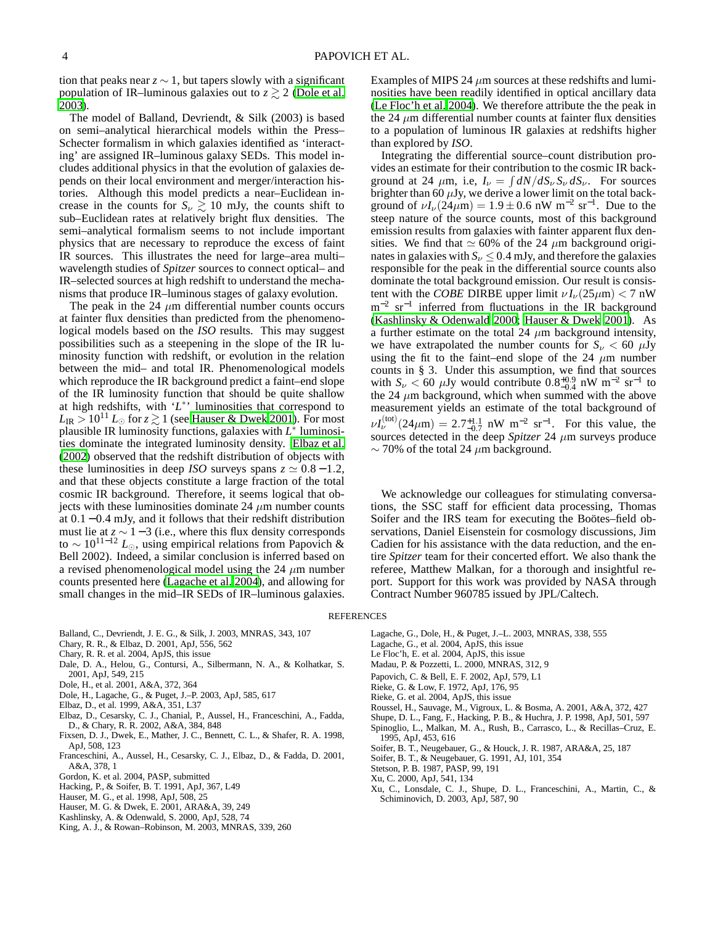tion that peaks near  $z \sim 1$ , but tapers slowly with a significant population of IR–luminous galaxies out to  $z \gtrsim 2$  [\(Dole et al.](#page-3-13) [2003\)](#page-3-13).

The model of Balland, Devriendt, & Silk (2003) is based on semi–analytical hierarchical models within the Press– Schecter formalism in which galaxies identified as 'interacting' are assigned IR–luminous galaxy SEDs. This model includes additional physics in that the evolution of galaxies depends on their local environment and merger/interaction histories. Although this model predicts a near–Euclidean increase in the counts for  $S_v \ge 10$  mJy, the counts shift to sub–Euclidean rates at relatively bright flux densities. The semi–analytical formalism seems to not include important physics that are necessary to reproduce the excess of faint IR sources. This illustrates the need for large–area multi– wavelength studies of *Spitzer* sources to connect optical– and IR–selected sources at high redshift to understand the mechanisms that produce IR–luminous stages of galaxy evolution.

The peak in the 24  $\mu$ m differential number counts occurs at fainter flux densities than predicted from the phenomenological models based on the *ISO* results. This may suggest possibilities such as a steepening in the slope of the IR luminosity function with redshift, or evolution in the relation between the mid– and total IR. Phenomenological models which reproduce the IR background predict a faint–end slope of the IR luminosity function that should be quite shallow at high redshifts, with 'L<sup>\*</sup>' luminosities that correspond to  $L_{\rm IR} > 10^{11} L_{\odot}$  for  $z \gtrsim 1$  (see [Hauser & Dwek 2001](#page-3-6)). For most plausible IR luminosity functions, galaxies with *L* ∗ luminosities dominate the integrated luminosity density. [Elbaz et al.](#page-3-4) [\(2002](#page-3-4)) observed that the redshift distribution of objects with these luminosities in deep *ISO* surveys spans  $z \approx 0.8 - 1.2$ , and that these objects constitute a large fraction of the total cosmic IR background. Therefore, it seems logical that objects with these luminosities dominate 24  $\mu$ m number counts at 0.1 − 0.4 mJy, and it follows that their redshift distribution must lie at  $z \sim 1-3$  (i.e., where this flux density corresponds to ∼ 1011−<sup>12</sup> *L*⊙, using empirical relations from Papovich & Bell 2002). Indeed, a similar conclusion is inferred based on a revised phenomenological model using the 24  $\mu$ m number counts presented here [\(Lagache et al. 2004](#page-3-24)), and allowing for small changes in the mid–IR SEDs of IR–luminous galaxies.

- Balland, C., Devriendt, J. E. G., & Silk, J. 2003, MNRAS, 343, 107
- <span id="page-3-10"></span>Chary, R. R., & Elbaz, D. 2001, ApJ, 556, 562
- <span id="page-3-19"></span>Chary, R. R. et al. 2004, ApJS, this issue
- <span id="page-3-7"></span>Dale, D. A., Helou, G., Contursi, A., Silbermann, N. A., & Kolhatkar, S. 2001, ApJ, 549, 215
- Dole, H., et al. 2001, A&A, 372, 364
- <span id="page-3-13"></span><span id="page-3-5"></span>Dole, H., Lagache, G., & Puget, J.–P. 2003, ApJ, 585, 617
- <span id="page-3-18"></span>Elbaz, D., et al. 1999, A&A, 351, L37
- <span id="page-3-4"></span>Elbaz, D., Cesarsky, C. J., Chanial, P., Aussel, H., Franceschini, A., Fadda, D., & Chary, R. R. 2002, A&A, 384, 848
- <span id="page-3-0"></span>Fixsen, D. J., Dwek, E., Mather, J. C., Bennett, C. L., & Shafer, R. A. 1998, ApJ, 508, 123
- <span id="page-3-3"></span>Franceschini, A., Aussel, H., Cesarsky, C. J., Elbaz, D., & Fadda, D. 2001, A&A, 378, 1
- <span id="page-3-14"></span>Gordon, K. et al. 2004, PASP, submitted
- <span id="page-3-16"></span>Hacking, P., & Soifer, B. T. 1991, ApJ, 367, L49
- Hauser, M. G., et al. 1998, ApJ, 508, 25
- <span id="page-3-6"></span><span id="page-3-1"></span>Hauser, M. G. & Dwek, E. 2001, ARA&A, 39, 249
- <span id="page-3-26"></span>Kashlinsky, A. & Odenwald, S. 2000, ApJ, 528, 74
- <span id="page-3-21"></span>King, A. J., & Rowan-Robinson, M. 2003, MNRAS, 339, 260

Examples of MIPS 24  $\mu$ m sources at these redshifts and luminosities have been readily identified in optical ancillary data [\(Le Floc'h et al. 2004\)](#page-3-25). We therefore attribute the the peak in the 24  $\mu$ m differential number counts at fainter flux densities to a population of luminous IR galaxies at redshifts higher than explored by *ISO*.

Integrating the differential source–count distribution provides an estimate for their contribution to the cosmic IR background at 24  $\mu$ m, i.e,  $I_{\nu} = \int dN/dS_{\nu} S_{\nu} dS_{\nu}$ . For sources brighter than 60  $\mu$ Jy, we derive a lower limit on the total background of  $\nu I_{\nu}$ (24 $\mu$ m) = 1.9 ± 0.6 nW m<sup>-2</sup> sr<sup>-1</sup>. Due to the steep nature of the source counts, most of this background emission results from galaxies with fainter apparent flux densities. We find that  $\simeq 60\%$  of the 24  $\mu$ m background originates in galaxies with  $S_v \leq 0.4$  mJy, and therefore the galaxies responsible for the peak in the differential source counts also dominate the total background emission. Our result is consistent with the *COBE* DIRBE upper limit  $\nu I_{\nu}(25\mu m) < 7$  nW m<sup>-2</sup> sr<sup>-1</sup> inferred from fluctuations in the IR background [\(Kashlinsky & Odenwald 2000;](#page-3-26) [Hauser & Dwek 2001\)](#page-3-6). As a further estimate on the total 24  $\mu$ m background intensity, we have extrapolated the number counts for  $S_v < 60 \mu Jy$ using the fit to the faint–end slope of the 24  $\mu$ m number counts in § 3. Under this assumption, we find that sources with  $S_v < 60 \mu Jy$  would contribute  $0.8^{+0.9}_{-0.4}$  nW m<sup>-2</sup> sr<sup>-1</sup> to the 24  $\mu$ m background, which when summed with the above measurement yields an estimate of the total background of  $\nu I_{\nu}^{(\text{tot})}(24\mu\text{m}) = 2.7^{+1.1}_{-0.7}$  nW m<sup>-2</sup> sr<sup>-1</sup>. For this value, the sources detected in the deep *Spitzer* 24  $\mu$ m surveys produce  $\sim$  70% of the total 24  $\mu$ m background.

We acknowledge our colleagues for stimulating conversations, the SSC staff for efficient data processing, Thomas Soifer and the IRS team for executing the Boötes–field observations, Daniel Eisenstein for cosmology discussions, Jim Cadien for his assistance with the data reduction, and the entire *Spitzer* team for their concerted effort. We also thank the referee, Matthew Malkan, for a thorough and insightful report. Support for this work was provided by NASA through Contract Number 960785 issued by JPL/Caltech.

## <span id="page-3-25"></span><span id="page-3-24"></span><span id="page-3-23"></span><span id="page-3-12"></span><span id="page-3-2"></span>**REFERENCES**

- Lagache, G., Dole, H., & Puget, J.–L. 2003, MNRAS, 338, 555
- Lagache, G., et al. 2004, ApJS, this issue
- Le Floc'h, E. et al. 2004, ApJS, this issue
- Madau, P. & Pozzetti, L. 2000, MNRAS, 312, 9
- Papovich, C. & Bell, E. F. 2002, ApJ, 579, L1
- Rieke, G. & Low, F. 1972, ApJ, 176, 95
- Rieke, G. et al. 2004, ApJS, this issue
- Roussel, H., Sauvage, M., Vigroux, L. & Bosma, A. 2001, A&A, 372, 427
- <span id="page-3-17"></span><span id="page-3-11"></span><span id="page-3-9"></span><span id="page-3-8"></span>Shupe, D. L., Fang, F., Hacking, P. B., & Huchra, J. P. 1998, ApJ, 501, 597
- Spinoglio, L., Malkan, M. A., Rush, B., Carrasco, L., & Recillas–Cruz, E. 1995, ApJ, 453, 616
- Soifer, B. T., Neugebauer, G., & Houck, J. R. 1987, ARA&A, 25, 187
- Soifer, B. T., & Neugebauer, G. 1991, AJ, 101, 354
- Stetson, P. B. 1987, PASP, 99, 191
- <span id="page-3-22"></span><span id="page-3-20"></span><span id="page-3-15"></span>Xu, C. 2000, ApJ, 541, 134
- Xu, C., Lonsdale, C. J., Shupe, D. L., Franceschini, A., Martin, C., & Schiminovich, D. 2003, ApJ, 587, 90